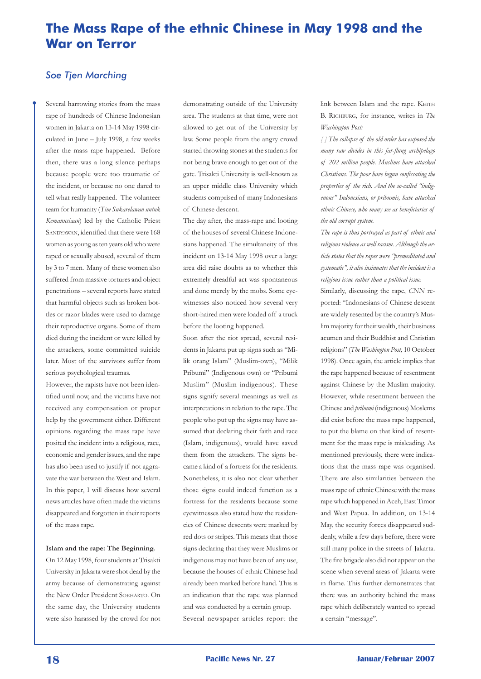## **The Mass Rape of the ethnic Chinese in May 1998 and the War on Terror**

## *Soe Tjen Marching*

Several harrowing stories from the mass rape of hundreds of Chinese Indonesian women in Jakarta on 13-14 May 1998 circulated in June – July 1998, a few weeks after the mass rape happened. Before then, there was a long silence perhaps because people were too traumatic of the incident, or because no one dared to tell what really happened. The volunteer team for humanity (*Tim Sukarelawan untuk Kemanusiaan*) led by the Catholic Priest SANDYAWAN, identified that there were 168 women as young as ten years old who were raped or sexually abused, several of them by 3 to 7 men. Many of these women also suffered from massive tortures and object penetrations – several reports have stated that harmful objects such as broken bottles or razor blades were used to damage their reproductive organs. Some of them died during the incident or were killed by the attackers, some committed suicide later. Most of the survivors suffer from serious psychological traumas.

However, the rapists have not been identified until now, and the victims have not received any compensation or proper help by the government either. Different opinions regarding the mass rape have posited the incident into a religious, race, economic and gender issues, and the rape has also been used to justify if not aggravate the war between the West and Islam. In this paper, I will discuss how several news articles have often made the victims disappeared and forgotten in their reports of the mass rape.

#### **Islam and the rape: The Beginning.**

On 12 May 1998, four students at Trisakti University in Jakarta were shot dead by the army because of demonstrating against the New Order President SOEHARTO. On the same day, the University students were also harassed by the crowd for not demonstrating outside of the University area. The students at that time, were not allowed to get out of the University by law. Some people from the angry crowd started throwing stones at the students for not being brave enough to get out of the gate. Trisakti University is well-known as an upper middle class University which students comprised of many Indonesians of Chinese descent.

The day after, the mass-rape and looting of the houses of several Chinese Indonesians happened. The simultaneity of this incident on 13-14 May 1998 over a large area did raise doubts as to whether this extremely dreadful act was spontaneous and done merely by the mobs. Some eyewitnesses also noticed how several very short-haired men were loaded off a truck before the looting happened.

Soon after the riot spread, several residents in Jakarta put up signs such as "Milik orang Islam" (Muslim-own), "Milik Pribumi" (Indigenous own) or "Pribumi Muslim" (Muslim indigenous). These signs signify several meanings as well as interpretations in relation to the rape. The people who put up the signs may have assumed that declaring their faith and race (Islam, indigenous), would have saved them from the attackers. The signs became a kind of a fortress for the residents. Nonetheless, it is also not clear whether those signs could indeed function as a fortress for the residents because some eyewitnesses also stated how the residencies of Chinese descents were marked by red dots or stripes. This means that those signs declaring that they were Muslims or indigenous may not have been of any use, because the houses of ethnic Chinese had already been marked before hand. This is an indication that the rape was planned and was conducted by a certain group. Several newspaper articles report the

link between Islam and the rape. KEITH B. RICHBURG, for instance, writes in *The Washington Post:*

*[ ] The collapse of the old order has exposed the many raw divides in this far-flung archipelago of 202 million people. Muslims have attacked Christians. The poor have begun confiscating the properties of the rich. And the so-called "indigenous" Indonesians, or pribumis, have attacked ethnic Chinese, who many see as beneficiaries of the old corrupt system.*

*The rape is thus portrayed as part of ethnic and religious violence as well racism. Although the article states that the rapes were "premeditated and systematic", it also insinuates that the incident is a religious issue rather than a political issue.* 

Similarly, discussing the rape, *CNN* reported: "Indonesians of Chinese descent are widely resented by the country's Muslim majority for their wealth, their business acumen and their Buddhist and Christian religions" (*The Washington Post,* 10 October 1998). Once again, the article implies that the rape happened because of resentment against Chinese by the Muslim majority. However, while resentment between the Chinese and *pribumi* (indigenous) Moslems did exist before the mass rape happened, to put the blame on that kind of resentment for the mass rape is misleading. As mentioned previously, there were indications that the mass rape was organised. There are also similarities between the mass rape of ethnic Chinese with the mass rape which happened in Aceh, East Timor and West Papua. In addition, on 13-14 May, the security forces disappeared suddenly, while a few days before, there were still many police in the streets of Jakarta. The fire brigade also did not appear on the scene when several areas of Jakarta were in flame. This further demonstrates that there was an authority behind the mass rape which deliberately wanted to spread a certain "message".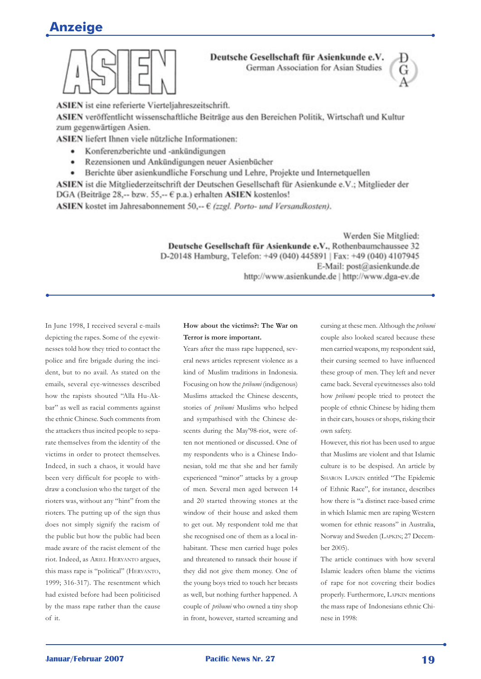# **Anzeige**



#### Deutsche Gesellschaft für Asienkunde e.V. German Association for Asian Studies



ASIEN ist eine referierte Vierteljahreszeitschrift.

ASIEN veröffentlicht wissenschaftliche Beiträge aus den Bereichen Politik, Wirtschaft und Kultur zum gegenwärtigen Asien.

ASIEN liefert Ihnen viele nützliche Informationen:

- Konferenzberichte und -ankündigungen
- Rezensionen und Ankündigungen neuer Asienbücher
- Berichte über asienkundliche Forschung und Lehre, Projekte und Internetquellen

ASIEN ist die Mitgliederzeitschrift der Deutschen Gesellschaft für Asienkunde e.V.; Mitglieder der DGA (Beiträge 28,-- bzw. 55,-- € p.a.) erhalten ASIEN kostenlos!

ASIEN kostet im Jahresabonnement 50,--  $\epsilon$  (zzgl. Porto- und Versandkosten).

Werden Sie Mitglied: Deutsche Gesellschaft für Asienkunde e.V., Rothenbaumchaussee 32 D-20148 Hamburg, Telefon: +49 (040) 445891 | Fax: +49 (040) 4107945 E-Mail: post@asienkunde.de http://www.asienkunde.de | http://www.dga-ev.de

In June 1998, I received several e-mails depicting the rapes. Some of the eyewitnesses told how they tried to contact the police and fire brigade during the incident, but to no avail. As stated on the emails, several eye-witnesses described how the rapists shouted "Alla Hu-Akbar" as well as racial comments against the ethnic Chinese. Such comments from the attackers thus incited people to separate themselves from the identity of the victims in order to protect themselves. Indeed, in such a chaos, it would have been very difficult for people to withdraw a conclusion who the target of the rioters was, without any "hint" from the rioters. The putting up of the sign thus does not simply signify the racism of the public but how the public had been made aware of the racist element of the riot. Indeed, as ARIEL HERYANTO argues, this mass rape is "political" (HERYANTO, 1999; 316-317). The resentment which had existed before had been politicised by the mass rape rather than the cause of it.

#### **How about the victims?: The War on Terror is more important.**

Years after the mass rape happened, several news articles represent violence as a kind of Muslim traditions in Indonesia. Focusing on how the *pribumi* (indigenous) Muslims attacked the Chinese descents, stories of *pribumi* Muslims who helped and sympathised with the Chinese descents during the May'98-riot, were often not mentioned or discussed. One of my respondents who is a Chinese Indonesian, told me that she and her family experienced "minor" attacks by a group of men. Several men aged between 14 and 20 started throwing stones at the window of their house and asked them to get out. My respondent told me that she recognised one of them as a local inhabitant. These men carried huge poles and threatened to ransack their house if they did not give them money. One of the young boys tried to touch her breasts as well, but nothing further happened. A couple of *pribumi* who owned a tiny shop in front, however, started screaming and

cursing at these men. Although the *pribumi* couple also looked scared because these men carried weapons, my respondent said, their cursing seemed to have influenced these group of men. They left and never came back. Several eyewitnesses also told how *pribumi* people tried to protect the people of ethnic Chinese by hiding them in their cars, houses or shops, risking their own safety.

However, this riot has been used to argue that Muslims are violent and that Islamic culture is to be despised. An article by SHARON LAPKIN entitled "The Epidemic of Ethnic Race", for instance, describes how there is "a distinct race-based crime in which Islamic men are raping Western women for ethnic reasons" in Australia, Norway and Sweden (LAPKIN; 27 December 2005).

The article continues with how several Islamic leaders often blame the victims of rape for not covering their bodies properly. Furthermore, LAPKIN mentions the mass rape of Indonesians ethnic Chinese in 1998: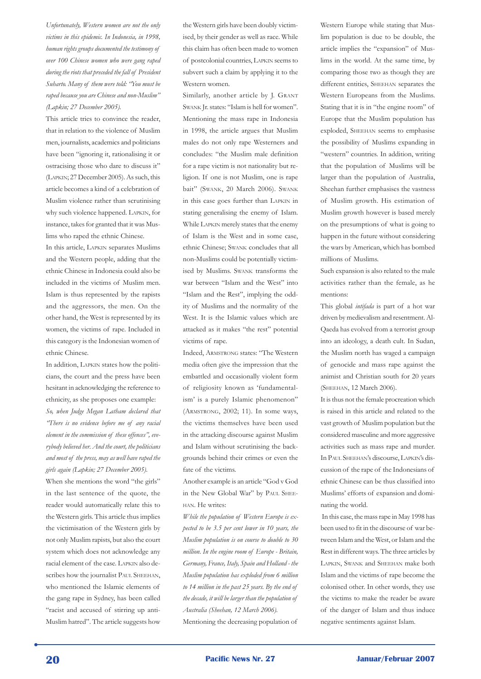*Unfortunately, Western women are not the only victims in this epidemic. In Indonesia, in 1998, human rights groups documented the testimony of over 100 Chinese women who were gang raped during the riots that preceded the fall of President Suharto. Many of them were told: "You must be raped because you are Chinese and non-Muslim" (Lapkin; 27 December 2005).* 

This article tries to convince the reader, that in relation to the violence of Muslim men, journalists, academics and politicians have been "ignoring it, rationalising it or ostracising those who dare to discuss it" (LAPKIN; 27 December 2005). As such, this article becomes a kind of a celebration of Muslim violence rather than scrutinising why such violence happened. LAPKIN, for instance, takes for granted that it was Muslims who raped the ethnic Chinese.

In this article, LAPKIN separates Muslims and the Western people, adding that the ethnic Chinese in Indonesia could also be included in the victims of Muslim men. Islam is thus represented by the rapists and the aggressors, the men. On the other hand, the West is represented by its women, the victims of rape. Included in this category is the Indonesian women of ethnic Chinese.

In addition, LAPKIN states how the politicians, the court and the press have been hesitant in acknowledging the reference to ethnicity, as she proposes one example: *So, when Judge Megan Latham declared that "There is no evidence before me of any racial element in the commission of these offences", everybody believed her. And the court, the politicians and most of the press, may as well have raped the girls again (Lapkin; 27 December 2005).*

When she mentions the word "the girls" in the last sentence of the quote, the reader would automatically relate this to the Western girls. This article thus implies the victimisation of the Western girls by not only Muslim rapists, but also the court system which does not acknowledge any racial element of the case. LAPKIN also describes how the journalist PAUL SHEEHAN, who mentioned the Islamic elements of the gang rape in Sydney, has been called "racist and accused of stirring up anti-Muslim hatred". The article suggests how

the Western girls have been doubly victimised, by their gender as well as race. While this claim has often been made to women of postcolonial countries, LAPKIN seems to subvert such a claim by applying it to the Western women.

Similarly, another article by J. GRANT SWANK Jr. states: "Islam is hell for women". Mentioning the mass rape in Indonesia in 1998, the article argues that Muslim males do not only rape Westerners and concludes: "the Muslim male definition for a rape victim is not nationality but religion. If one is not Muslim, one is rape bait" (SWANK, 20 March 2006). SWANK in this case goes further than LAPKIN in stating generalising the enemy of Islam. While LAPKIN merely states that the enemy of Islam is the West and in some case, ethnic Chinese; SWANK concludes that all non-Muslims could be potentially victimised by Muslims. SWANK transforms the war between "Islam and the West" into "Islam and the Rest", implying the oddity of Muslims and the normality of the West. It is the Islamic values which are attacked as it makes "the rest" potential victims of rape.

Indeed, ARMSTRONG states: "The Western media often give the impression that the embattled and occasionally violent form of religiosity known as 'fundamentalism' is a purely Islamic phenomenon" (ARMSTRONG, 2002; 11). In some ways, the victims themselves have been used in the attacking discourse against Muslim and Islam without scrutinising the backgrounds behind their crimes or even the fate of the victims.

Another example is an article "God v God in the New Global War" by PAUL SHEE-HAN. He writes:

*While the population of Western Europe is expected to be 3.5 per cent lower in 10 years, the Muslim population is on course to double to 30 million. In the engine room of Europe - Britain, Germany, France, Italy, Spain and Holland - the Muslim population has exploded from 6 million to 14 million in the past 25 years. By the end of the decade, it will be larger than the population of Australia (Sheehan, 12 March 2006).* Mentioning the decreasing population of

Western Europe while stating that Muslim population is due to be double, the article implies the "expansion" of Muslims in the world. At the same time, by comparing those two as though they are different entities, SHEEHAN separates the Western Europeans from the Muslims. Stating that it is in "the engine room" of Europe that the Muslim population has exploded, SHEEHAN seems to emphasise the possibility of Muslims expanding in "western" countries. In addition, writing that the population of Muslims will be larger than the population of Australia, Sheehan further emphasises the vastness of Muslim growth. His estimation of Muslim growth however is based merely on the presumptions of what is going to happen in the future without considering the wars by American, which has bombed millions of Muslims.

Such expansion is also related to the male activities rather than the female, as he mentions:

This global *intifada* is part of a hot war driven by medievalism and resentment. Al-Qaeda has evolved from a terrorist group into an ideology, a death cult. In Sudan, the Muslim north has waged a campaign of genocide and mass rape against the animist and Christian south for 20 years (SHEEHAN, 12 March 2006).

It is thus not the female procreation which is raised in this article and related to the vast growth of Muslim population but the considered masculine and more aggressive activities such as mass rape and murder. In PAUL SHEEHAN's discourse, LAPKIN's discussion of the rape of the Indonesians of ethnic Chinese can be thus classified into Muslims' efforts of expansion and dominating the world.

 In this case, the mass rape in May 1998 has been used to fit in the discourse of war between Islam and the West, or Islam and the Rest in different ways. The three articles by LAPKIN, SWANK and SHEEHAN make both Islam and the victims of rape become the colonised other. In other words, they use the victims to make the reader be aware of the danger of Islam and thus induce negative sentiments against Islam.